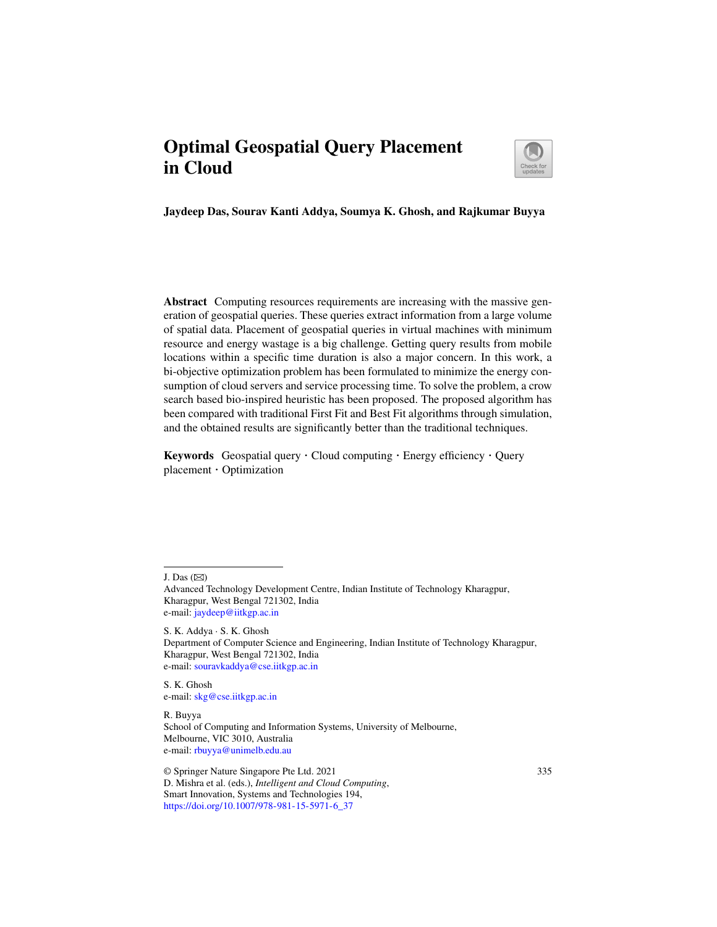# Optimal Geospatial Query Placement in Cloud



Jaydeep Das, Sourav Kanti Addya, Soumya K. Ghosh, and Rajkumar Buyya

Abstract Computing resources requirements are increasing with the massive generation of geospatial queries. These queries extract information from a large volume of spatial data. Placement of geospatial queries in virtual machines with minimum resource and energy wastage is a big challenge. Getting query results from mobile locations within a specific time duration is also a major concern. In this work, a bi-objective optimization problem has been formulated to minimize the energy consumption of cloud servers and service processing time. To solve the problem, a crow search based bio-inspired heuristic has been proposed. The proposed algorithm has been compared with traditional First Fit and Best Fit algorithms through simulation, and the obtained results are significantly better than the traditional techniques.

**Keywords** Geospatial query  $\cdot$  Cloud computing  $\cdot$  Energy efficiency  $\cdot$  Query placement · Optimization

S. K. Addya · S. K. Ghosh

S. K. Ghosh e-mail: skg@cse.iitkgp.ac.in

R. Buyya School of Computing and Information Systems, University of Melbourne, Melbourne, VIC 3010, Australia e-mail: rbuyya@unimelb.edu.au

© Springer Nature Singapore Pte Ltd. 2021 D. Mishra et al. (eds.), Intelligent and Cloud Computing, Smart Innovation, Systems and Technologies 194, https://doi.org/10.1007/978-981-15-5971-6\_37

335

J. Das  $(\boxtimes)$ 

Advanced Technology Development Centre, Indian Institute of Technology Kharagpur, Kharagpur, West Bengal 721302, India e-mail: jaydeep@iitkgp.ac.in

Department of Computer Science and Engineering, Indian Institute of Technology Kharagpur, Kharagpur, West Bengal 721302, India e-mail: souravkaddya@cse.iitkgp.ac.in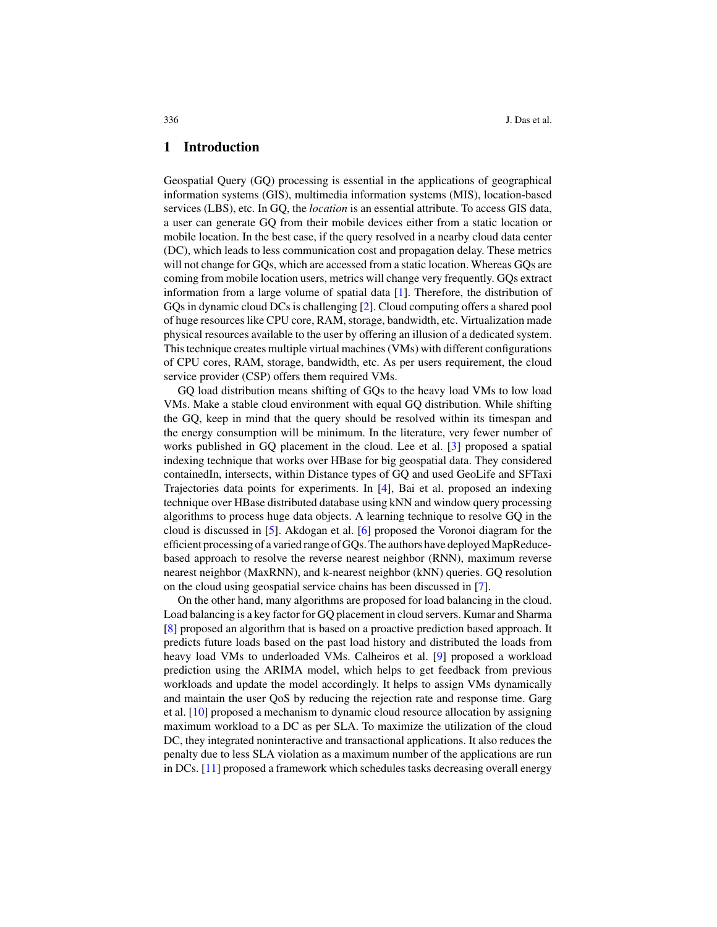### 1 Introduction

Geospatial Query (GQ) processing is essential in the applications of geographical information systems (GIS), multimedia information systems (MIS), location-based services (LBS), etc. In GQ, the location is an essential attribute. To access GIS data, a user can generate GQ from their mobile devices either from a static location or mobile location. In the best case, if the query resolved in a nearby cloud data center (DC), which leads to less communication cost and propagation delay. These metrics will not change for GQs, which are accessed from a static location. Whereas GQs are coming from mobile location users, metrics will change very frequently. GQs extract information from a large volume of spatial data  $[1]$ . Therefore, the distribution of GQs in dynamic cloud DCs is challenging [2]. Cloud computing offers a shared pool of huge resources like CPU core, RAM, storage, bandwidth, etc. Virtualization made physical resources available to the user by offering an illusion of a dedicated system. This technique creates multiple virtual machines (VMs) with different configurations of CPU cores, RAM, storage, bandwidth, etc. As per users requirement, the cloud service provider (CSP) offers them required VMs.

GQ load distribution means shifting of GQs to the heavy load VMs to low load VMs. Make a stable cloud environment with equal GQ distribution. While shifting the GQ, keep in mind that the query should be resolved within its timespan and the energy consumption will be minimum. In the literature, very fewer number of works published in GQ placement in the cloud. Lee et al. [3] proposed a spatial indexing technique that works over HBase for big geospatial data. They considered containedIn, intersects, within Distance types of GQ and used GeoLife and SFTaxi Trajectories data points for experiments. In [4], Bai et al. proposed an indexing technique over HBase distributed database using kNN and window query processing algorithms to process huge data objects. A learning technique to resolve GQ in the cloud is discussed in [5]. Akdogan et al. [6] proposed the Voronoi diagram for the efficient processing of a varied range of GQs. The authors have deployedMapReducebased approach to resolve the reverse nearest neighbor (RNN), maximum reverse nearest neighbor (MaxRNN), and k-nearest neighbor (kNN) queries. GQ resolution on the cloud using geospatial service chains has been discussed in [7].

On the other hand, many algorithms are proposed for load balancing in the cloud. Load balancing is a key factor for GQ placement in cloud servers. Kumar and Sharma [8] proposed an algorithm that is based on a proactive prediction based approach. It predicts future loads based on the past load history and distributed the loads from heavy load VMs to underloaded VMs. Calheiros et al. [9] proposed a workload prediction using the ARIMA model, which helps to get feedback from previous workloads and update the model accordingly. It helps to assign VMs dynamically and maintain the user QoS by reducing the rejection rate and response time. Garg et al. [10] proposed a mechanism to dynamic cloud resource allocation by assigning maximum workload to a DC as per SLA. To maximize the utilization of the cloud DC, they integrated noninteractive and transactional applications. It also reduces the penalty due to less SLA violation as a maximum number of the applications are run in DCs. [11] proposed a framework which schedules tasks decreasing overall energy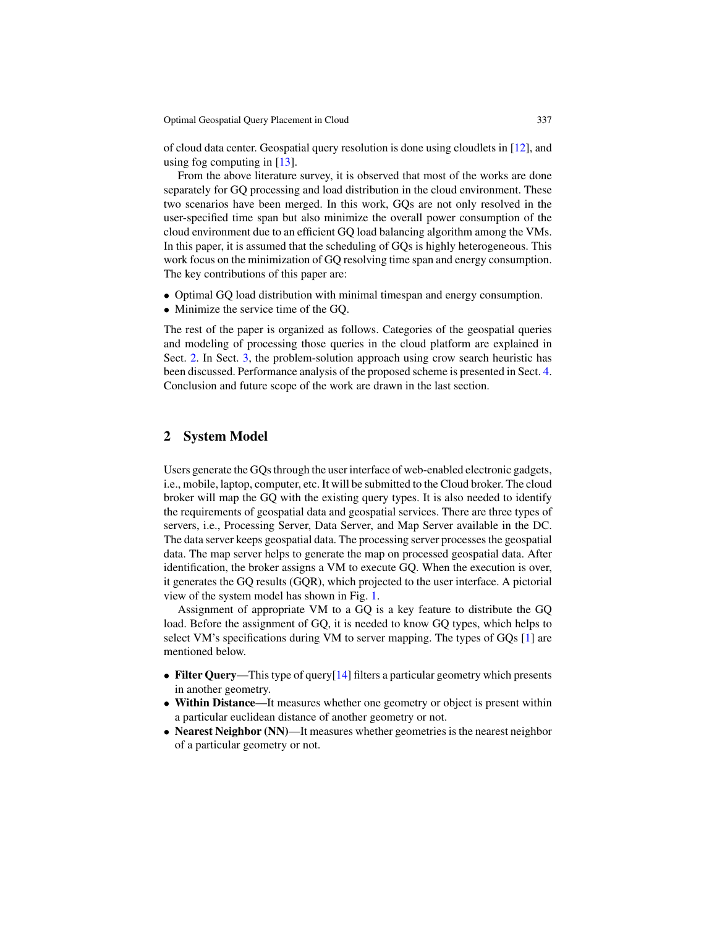of cloud data center. Geospatial query resolution is done using cloudlets in [12], and using fog computing in [13].

From the above literature survey, it is observed that most of the works are done separately for GQ processing and load distribution in the cloud environment. These two scenarios have been merged. In this work, GQs are not only resolved in the user-specified time span but also minimize the overall power consumption of the cloud environment due to an efficient GQ load balancing algorithm among the VMs. In this paper, it is assumed that the scheduling of GQs is highly heterogeneous. This work focus on the minimization of GQ resolving time span and energy consumption. The key contributions of this paper are:

- Optimal GQ load distribution with minimal timespan and energy consumption.
- Minimize the service time of the GQ.

The rest of the paper is organized as follows. Categories of the geospatial queries and modeling of processing those queries in the cloud platform are explained in Sect. 2. In Sect. 3, the problem-solution approach using crow search heuristic has been discussed. Performance analysis of the proposed scheme is presented in Sect. 4. Conclusion and future scope of the work are drawn in the last section.

### 2 System Model

Users generate the GQs through the user interface of web-enabled electronic gadgets, i.e., mobile, laptop, computer, etc. It will be submitted to the Cloud broker. The cloud broker will map the GQ with the existing query types. It is also needed to identify the requirements of geospatial data and geospatial services. There are three types of servers, i.e., Processing Server, Data Server, and Map Server available in the DC. The data server keeps geospatial data. The processing server processes the geospatial data. The map server helps to generate the map on processed geospatial data. After identification, the broker assigns a VM to execute GQ. When the execution is over, it generates the GQ results (GQR), which projected to the user interface. A pictorial view of the system model has shown in Fig. 1.

Assignment of appropriate VM to a GQ is a key feature to distribute the GQ load. Before the assignment of GQ, it is needed to know GQ types, which helps to select VM's specifications during VM to server mapping. The types of GQs [1] are mentioned below.

- Filter Query—This type of query[14] filters a particular geometry which presents in another geometry.
- Within Distance—It measures whether one geometry or object is present within a particular euclidean distance of another geometry or not.
- Nearest Neighbor (NN)—It measures whether geometries is the nearest neighbor of a particular geometry or not.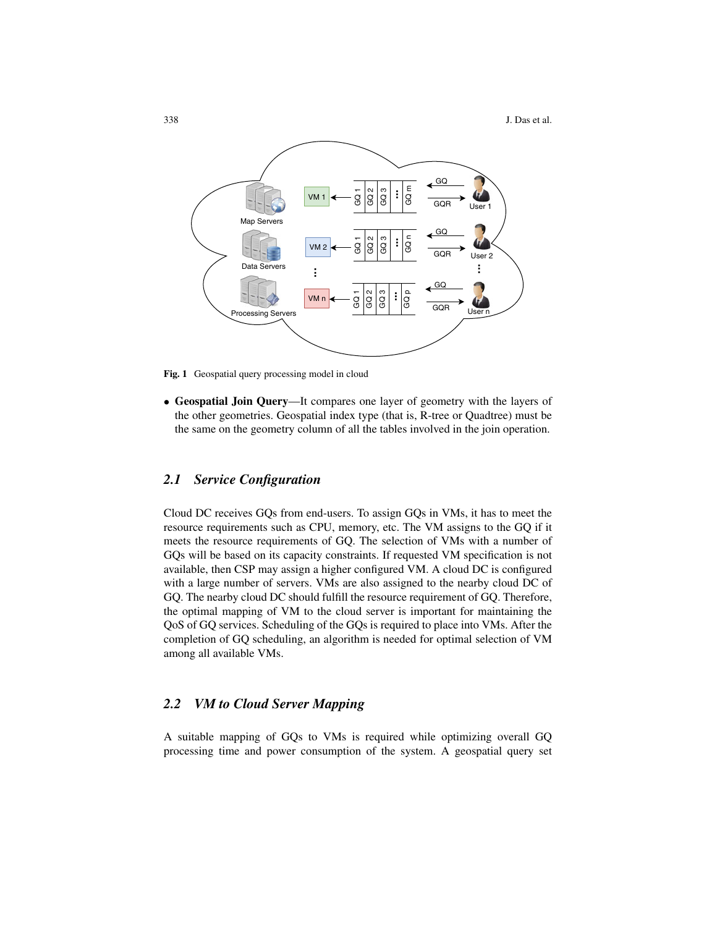

Fig. 1 Geospatial query processing model in cloud

• Geospatial Join Query—It compares one layer of geometry with the layers of the other geometries. Geospatial index type (that is, R-tree or Quadtree) must be the same on the geometry column of all the tables involved in the join operation.

## 2.1 Service Configuration

Cloud DC receives GQs from end-users. To assign GQs in VMs, it has to meet the resource requirements such as CPU, memory, etc. The VM assigns to the GQ if it meets the resource requirements of GQ. The selection of VMs with a number of GQs will be based on its capacity constraints. If requested VM specification is not available, then CSP may assign a higher configured VM. A cloud DC is configured with a large number of servers. VMs are also assigned to the nearby cloud DC of GQ. The nearby cloud DC should fulfill the resource requirement of GQ. Therefore, the optimal mapping of VM to the cloud server is important for maintaining the QoS of GQ services. Scheduling of the GQs is required to place into VMs. After the completion of GQ scheduling, an algorithm is needed for optimal selection of VM among all available VMs.

### 2.2 VM to Cloud Server Mapping

A suitable mapping of GQs to VMs is required while optimizing overall GQ processing time and power consumption of the system. A geospatial query set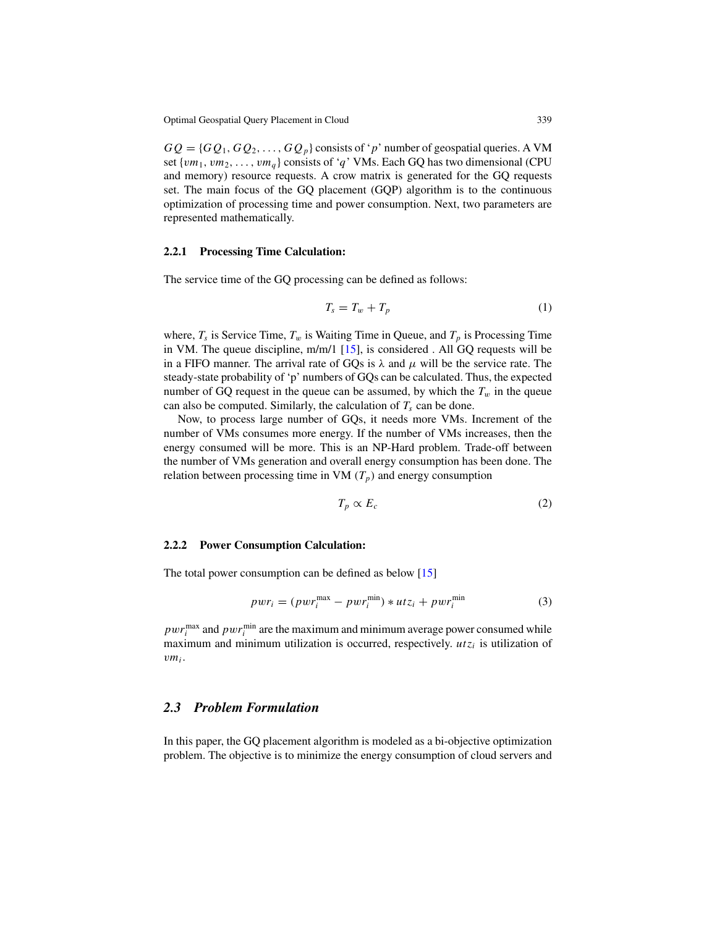$GQ = \{GQ_1, GQ_2, \ldots, GQ_p\}$  consists of 'p' number of geospatial queries. A VM set  $\{vm_1,vm_2,\ldots,vm_a\}$  consists of 'q' VMs. Each GQ has two dimensional (CPU and memory) resource requests. A crow matrix is generated for the GQ requests set. The main focus of the GQ placement (GQP) algorithm is to the continuous optimization of processing time and power consumption. Next, two parameters are represented mathematically.

### 2.2.1 Processing Time Calculation:

The service time of the GQ processing can be defined as follows:

$$
T_s = T_w + T_p \tag{1}
$$

where,  $T_s$  is Service Time,  $T_w$  is Waiting Time in Queue, and  $T_p$  is Processing Time in VM. The queue discipline, m/m/1 [15], is considered . All GQ requests will be in a FIFO manner. The arrival rate of GQs is  $\lambda$  and  $\mu$  will be the service rate. The steady-state probability of 'p' numbers of GQs can be calculated. Thus, the expected number of GQ request in the queue can be assumed, by which the  $T_w$  in the queue can also be computed. Similarly, the calculation of  $T_s$  can be done.

Now, to process large number of GQs, it needs more VMs. Increment of the number of VMs consumes more energy. If the number of VMs increases, then the energy consumed will be more. This is an NP-Hard problem. Trade-off between the number of VMs generation and overall energy consumption has been done. The relation between processing time in VM  $(T_p)$  and energy consumption

$$
T_p \propto E_c \tag{2}
$$

#### 2.2.2 Power Consumption Calculation:

The total power consumption can be defined as below [15]

$$
pwr_i = (pwr_i^{\max} - pur_i^{\min}) * utz_i + pw_i^{\min}
$$
\n(3)

 $pwr_i^{\text{max}}$  and  $pwr_i^{\text{min}}$  are the maximum and minimum average power consumed while maximum and minimum utilization is occurred, respectively.  $utz_i$  is utilization of  $vm_i$ .

### 2.3 Problem Formulation

In this paper, the GQ placement algorithm is modeled as a bi-objective optimization problem. The objective is to minimize the energy consumption of cloud servers and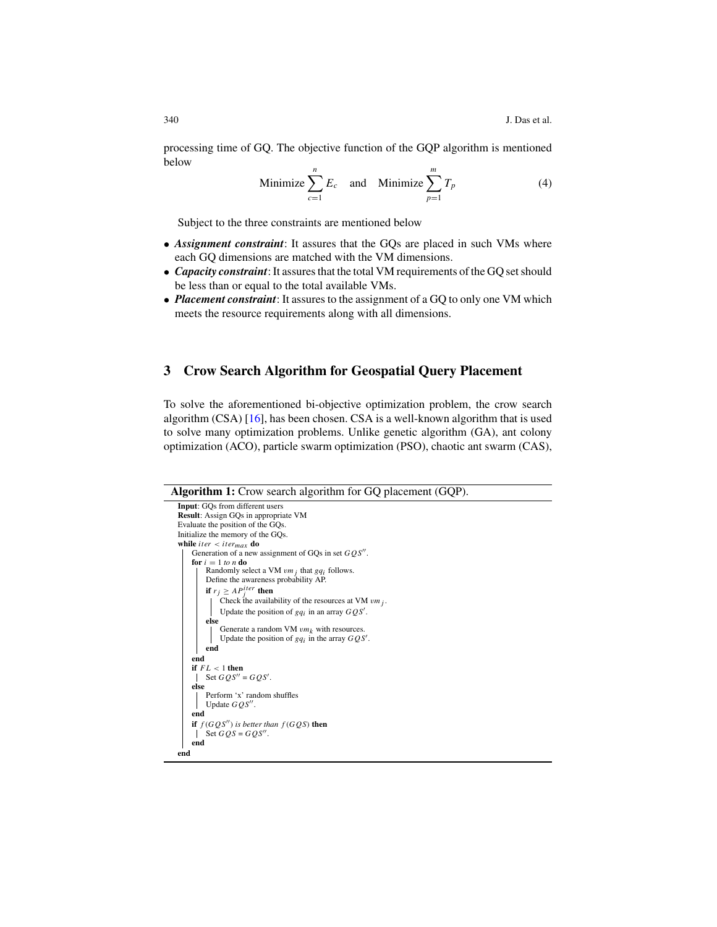processing time of GQ. The objective function of the GQP algorithm is mentioned below

Minimize 
$$
\sum_{c=1}^{n} E_c
$$
 and Minimize  $\sum_{p=1}^{m} T_p$  (4)

Subject to the three constraints are mentioned below

- Assignment constraint: It assures that the GQs are placed in such VMs where each GQ dimensions are matched with the VM dimensions.
- Capacity constraint: It assures that the total VM requirements of the GQ set should be less than or equal to the total available VMs.
- Placement constraint: It assures to the assignment of a GQ to only one VM which meets the resource requirements along with all dimensions.

### 3 Crow Search Algorithm for Geospatial Query Placement

To solve the aforementioned bi-objective optimization problem, the crow search algorithm (CSA) [16], has been chosen. CSA is a well-known algorithm that is used to solve many optimization problems. Unlike genetic algorithm (GA), ant colony optimization (ACO), particle swarm optimization (PSO), chaotic ant swarm (CAS),

```
Algorithm 1: Crow search algorithm for GQ placement (GQP).
Input: GQs from different users
 Result: Assign GQs in appropriate VM
Evaluate the position of the GQs.
Initialize the memory of the GQs.
 while iter \langle iter<sub>max</sub> do
    Generation of a new assignment of GQs in set GQS''.
    for i = 1 to n do
         Randomly select a VM vm_i that g_i follows.
         Define the awareness probability AP.
         if r_j \geq AP_j^{iter} then
             \int_{0}^{\infty} Check the availability of the resources at VM vm j.
             Update the position of gq_i in an array GQS'.
        else
             Generate a random VM vm_k with resources.
             Update the position of gq_i in the array GQS'.
        end
    end
    if FL < 1 then
         Set GQS'' = GQS'.
    else
        Perform 'x' random shuffles
        Update GQS''.
    end
    if f(GOS'') is better than f(GOS) then
     Set GQS = GQS''.
    end
end
```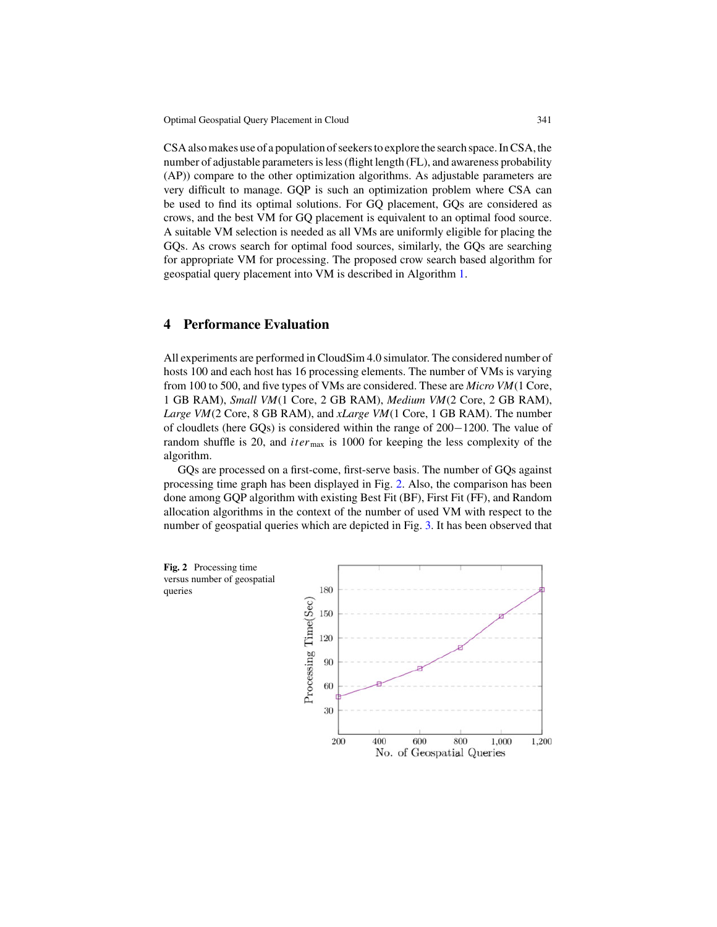CSA also makes use of a population of seekers to explore the search space. In CSA, the number of adjustable parameters is less (flight length (FL), and awareness probability (AP)) compare to the other optimization algorithms. As adjustable parameters are very difficult to manage. GQP is such an optimization problem where CSA can be used to find its optimal solutions. For GQ placement, GQs are considered as crows, and the best VM for GQ placement is equivalent to an optimal food source. A suitable VM selection is needed as all VMs are uniformly eligible for placing the GQs. As crows search for optimal food sources, similarly, the GQs are searching for appropriate VM for processing. The proposed crow search based algorithm for geospatial query placement into VM is described in Algorithm 1.

### 4 Performance Evaluation

All experiments are performed in CloudSim 4.0 simulator. The considered number of hosts 100 and each host has 16 processing elements. The number of VMs is varying from 100 to 500, and five types of VMs are considered. These are Micro VM(1 Core, 1 GB RAM), Small VM(1 Core, 2 GB RAM), Medium VM(2 Core, 2 GB RAM), Large VM(2 Core, 8 GB RAM), and xLarge VM(1 Core, 1 GB RAM). The number of cloudlets (here GQs) is considered within the range of 200−1200. The value of random shuffle is 20, and  $iter_{\text{max}}$  is 1000 for keeping the less complexity of the algorithm.

GQs are processed on a first-come, first-serve basis. The number of GQs against processing time graph has been displayed in Fig. 2. Also, the comparison has been done among GQP algorithm with existing Best Fit (BF), First Fit (FF), and Random allocation algorithms in the context of the number of used VM with respect to the number of geospatial queries which are depicted in Fig. 3. It has been observed that

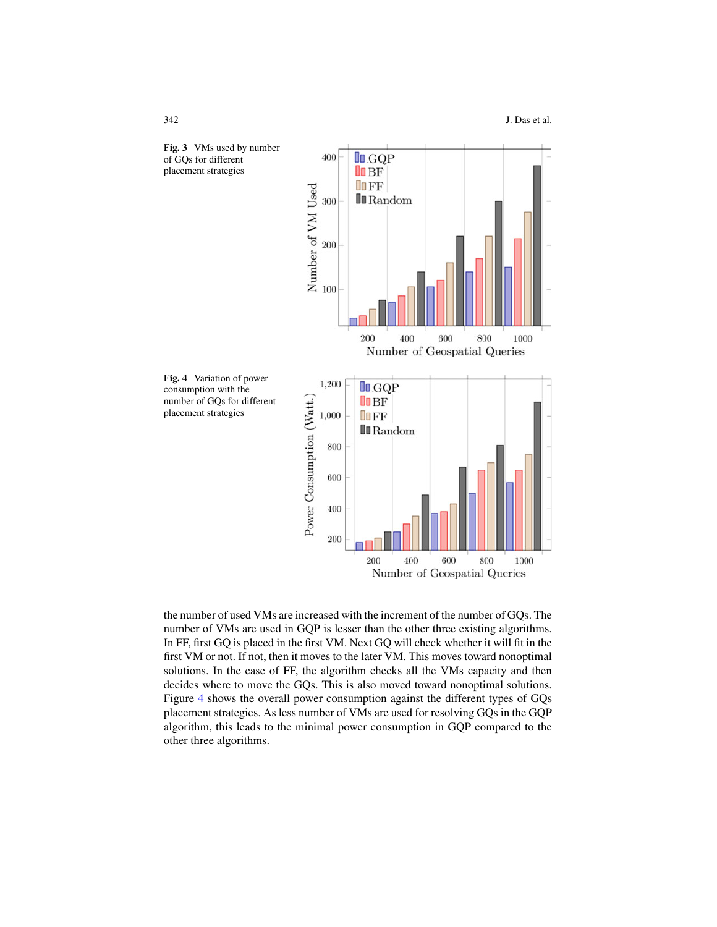

the number of used VMs are increased with the increment of the number of GQs. The number of VMs are used in GQP is lesser than the other three existing algorithms. In FF, first GQ is placed in the first VM. Next GQ will check whether it will fit in the first VM or not. If not, then it moves to the later VM. This moves toward nonoptimal solutions. In the case of FF, the algorithm checks all the VMs capacity and then decides where to move the GQs. This is also moved toward nonoptimal solutions. Figure 4 shows the overall power consumption against the different types of GQs placement strategies. As less number of VMs are used for resolving GQs in the GQP algorithm, this leads to the minimal power consumption in GQP compared to the other three algorithms.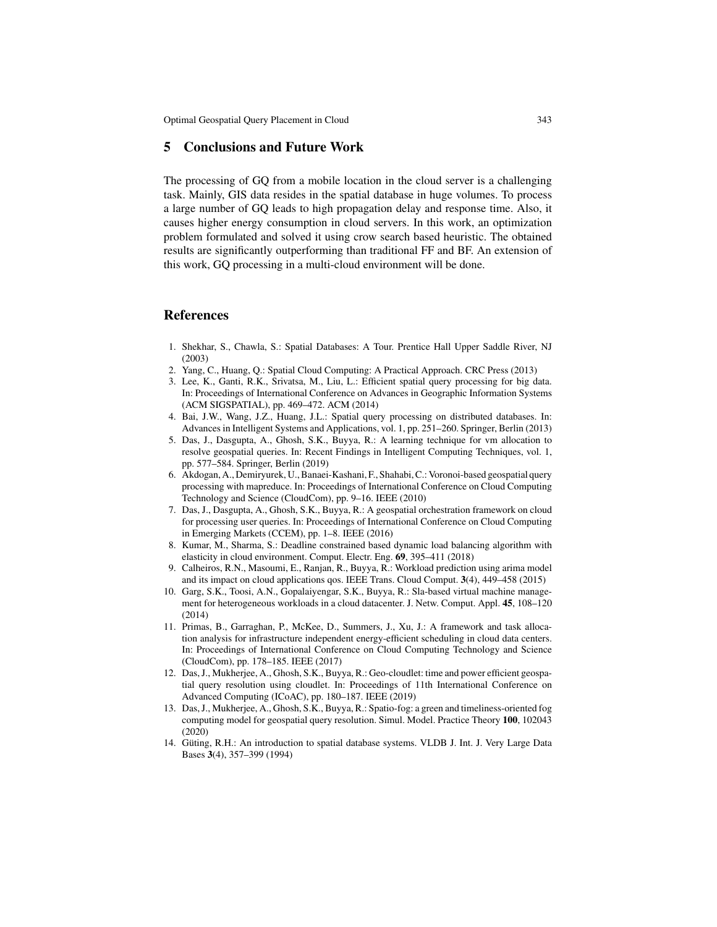## 5 Conclusions and Future Work

The processing of GQ from a mobile location in the cloud server is a challenging task. Mainly, GIS data resides in the spatial database in huge volumes. To process a large number of GQ leads to high propagation delay and response time. Also, it causes higher energy consumption in cloud servers. In this work, an optimization problem formulated and solved it using crow search based heuristic. The obtained results are significantly outperforming than traditional FF and BF. An extension of this work, GQ processing in a multi-cloud environment will be done.

## References

- 1. Shekhar, S., Chawla, S.: Spatial Databases: A Tour. Prentice Hall Upper Saddle River, NJ (2003)
- 2. Yang, C., Huang, Q.: Spatial Cloud Computing: A Practical Approach. CRC Press (2013)
- 3. Lee, K., Ganti, R.K., Srivatsa, M., Liu, L.: Efficient spatial query processing for big data. In: Proceedings of International Conference on Advances in Geographic Information Systems (ACM SIGSPATIAL), pp. 469–472. ACM (2014)
- 4. Bai, J.W., Wang, J.Z., Huang, J.L.: Spatial query processing on distributed databases. In: Advances in Intelligent Systems and Applications, vol. 1, pp. 251–260. Springer, Berlin (2013)
- 5. Das, J., Dasgupta, A., Ghosh, S.K., Buyya, R.: A learning technique for vm allocation to resolve geospatial queries. In: Recent Findings in Intelligent Computing Techniques, vol. 1, pp. 577–584. Springer, Berlin (2019)
- 6. Akdogan, A., Demiryurek, U., Banaei-Kashani, F., Shahabi, C.: Voronoi-based geospatial query processing with mapreduce. In: Proceedings of International Conference on Cloud Computing Technology and Science (CloudCom), pp. 9–16. IEEE (2010)
- 7. Das, J., Dasgupta, A., Ghosh, S.K., Buyya, R.: A geospatial orchestration framework on cloud for processing user queries. In: Proceedings of International Conference on Cloud Computing in Emerging Markets (CCEM), pp. 1–8. IEEE (2016)
- 8. Kumar, M., Sharma, S.: Deadline constrained based dynamic load balancing algorithm with elasticity in cloud environment. Comput. Electr. Eng. 69, 395–411 (2018)
- 9. Calheiros, R.N., Masoumi, E., Ranjan, R., Buyya, R.: Workload prediction using arima model and its impact on cloud applications qos. IEEE Trans. Cloud Comput. 3(4), 449–458 (2015)
- 10. Garg, S.K., Toosi, A.N., Gopalaiyengar, S.K., Buyya, R.: Sla-based virtual machine management for heterogeneous workloads in a cloud datacenter. J. Netw. Comput. Appl. 45, 108–120 (2014)
- 11. Primas, B., Garraghan, P., McKee, D., Summers, J., Xu, J.: A framework and task allocation analysis for infrastructure independent energy-efficient scheduling in cloud data centers. In: Proceedings of International Conference on Cloud Computing Technology and Science (CloudCom), pp. 178–185. IEEE (2017)
- 12. Das, J., Mukherjee, A., Ghosh, S.K., Buyya, R.: Geo-cloudlet: time and power efficient geospatial query resolution using cloudlet. In: Proceedings of 11th International Conference on Advanced Computing (ICoAC), pp. 180–187. IEEE (2019)
- 13. Das, J., Mukherjee, A., Ghosh, S.K., Buyya, R.: Spatio-fog: a green and timeliness-oriented fog computing model for geospatial query resolution. Simul. Model. Practice Theory 100, 102043 (2020)
- 14. Güting, R.H.: An introduction to spatial database systems. VLDB J. Int. J. Very Large Data Bases 3(4), 357–399 (1994)